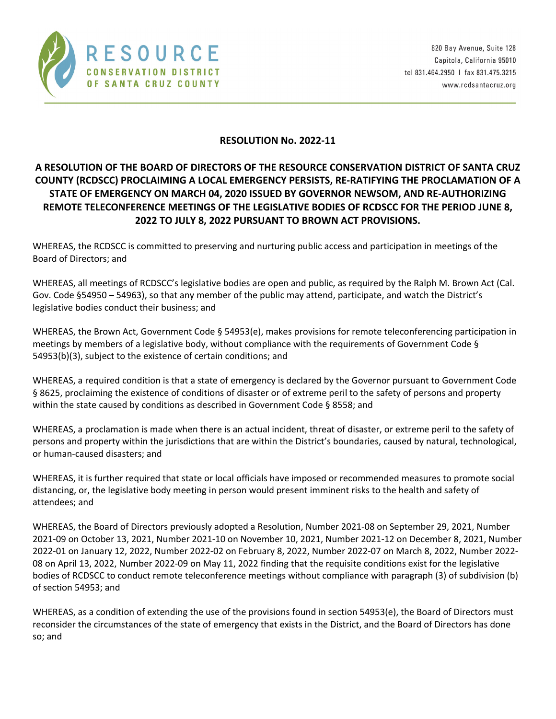

## **RESOLUTION No. 2022‐11**

## **A RESOLUTION OF THE BOARD OF DIRECTORS OF THE RESOURCE CONSERVATION DISTRICT OF SANTA CRUZ COUNTY (RCDSCC) PROCLAIMING A LOCAL EMERGENCY PERSISTS, RE‐RATIFYING THE PROCLAMATION OF A STATE OF EMERGENCY ON MARCH 04, 2020 ISSUED BY GOVERNOR NEWSOM, AND RE‐AUTHORIZING REMOTE TELECONFERENCE MEETINGS OF THE LEGISLATIVE BODIES OF RCDSCC FOR THE PERIOD JUNE 8, 2022 TO JULY 8, 2022 PURSUANT TO BROWN ACT PROVISIONS.**

WHEREAS, the RCDSCC is committed to preserving and nurturing public access and participation in meetings of the Board of Directors; and

WHEREAS, all meetings of RCDSCC's legislative bodies are open and public, as required by the Ralph M. Brown Act (Cal. Gov. Code §54950 – 54963), so that any member of the public may attend, participate, and watch the District's legislative bodies conduct their business; and

WHEREAS, the Brown Act, Government Code § 54953(e), makes provisions for remote teleconferencing participation in meetings by members of a legislative body, without compliance with the requirements of Government Code § 54953(b)(3), subject to the existence of certain conditions; and

WHEREAS, a required condition is that a state of emergency is declared by the Governor pursuant to Government Code § 8625, proclaiming the existence of conditions of disaster or of extreme peril to the safety of persons and property within the state caused by conditions as described in Government Code § 8558; and

WHEREAS, a proclamation is made when there is an actual incident, threat of disaster, or extreme peril to the safety of persons and property within the jurisdictions that are within the District's boundaries, caused by natural, technological, or human‐caused disasters; and

WHEREAS, it is further required that state or local officials have imposed or recommended measures to promote social distancing, or, the legislative body meeting in person would present imminent risks to the health and safety of attendees; and

WHEREAS, the Board of Directors previously adopted a Resolution, Number 2021‐08 on September 29, 2021, Number 2021‐09 on October 13, 2021, Number 2021‐10 on November 10, 2021, Number 2021‐12 on December 8, 2021, Number 2022‐01 on January 12, 2022, Number 2022‐02 on February 8, 2022, Number 2022‐07 on March 8, 2022, Number 2022‐ 08 on April 13, 2022, Number 2022‐09 on May 11, 2022 finding that the requisite conditions exist for the legislative bodies of RCDSCC to conduct remote teleconference meetings without compliance with paragraph (3) of subdivision (b) of section 54953; and

WHEREAS, as a condition of extending the use of the provisions found in section 54953(e), the Board of Directors must reconsider the circumstances of the state of emergency that exists in the District, and the Board of Directors has done so; and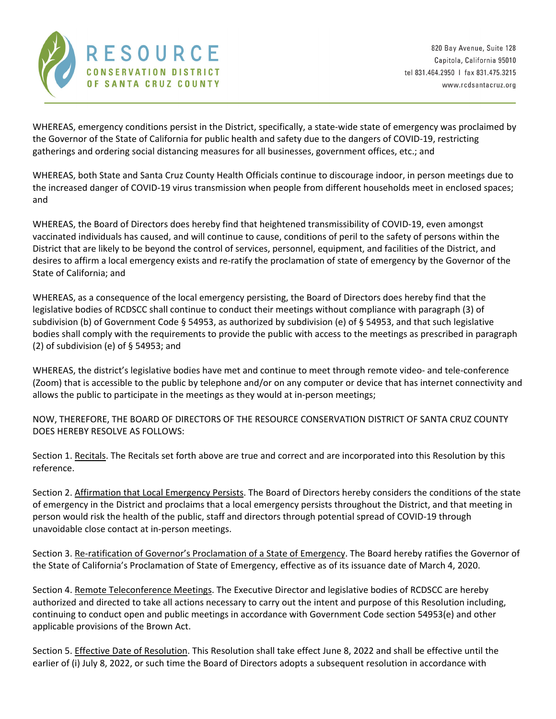

WHEREAS, emergency conditions persist in the District, specifically, a state-wide state of emergency was proclaimed by the Governor of the State of California for public health and safety due to the dangers of COVID‐19, restricting gatherings and ordering social distancing measures for all businesses, government offices, etc.; and

WHEREAS, both State and Santa Cruz County Health Officials continue to discourage indoor, in person meetings due to the increased danger of COVID‐19 virus transmission when people from different households meet in enclosed spaces; and

WHEREAS, the Board of Directors does hereby find that heightened transmissibility of COVID‐19, even amongst vaccinated individuals has caused, and will continue to cause, conditions of peril to the safety of persons within the District that are likely to be beyond the control of services, personnel, equipment, and facilities of the District, and desires to affirm a local emergency exists and re‐ratify the proclamation of state of emergency by the Governor of the State of California; and

WHEREAS, as a consequence of the local emergency persisting, the Board of Directors does hereby find that the legislative bodies of RCDSCC shall continue to conduct their meetings without compliance with paragraph (3) of subdivision (b) of Government Code § 54953, as authorized by subdivision (e) of § 54953, and that such legislative bodies shall comply with the requirements to provide the public with access to the meetings as prescribed in paragraph (2) of subdivision (e) of  $\S$  54953; and

WHEREAS, the district's legislative bodies have met and continue to meet through remote video‐ and tele‐conference (Zoom) that is accessible to the public by telephone and/or on any computer or device that has internet connectivity and allows the public to participate in the meetings as they would at in‐person meetings;

NOW, THEREFORE, THE BOARD OF DIRECTORS OF THE RESOURCE CONSERVATION DISTRICT OF SANTA CRUZ COUNTY DOES HEREBY RESOLVE AS FOLLOWS:

Section 1. Recitals. The Recitals set forth above are true and correct and are incorporated into this Resolution by this reference.

Section 2. Affirmation that Local Emergency Persists. The Board of Directors hereby considers the conditions of the state of emergency in the District and proclaims that a local emergency persists throughout the District, and that meeting in person would risk the health of the public, staff and directors through potential spread of COVID‐19 through unavoidable close contact at in‐person meetings.

Section 3. Re-ratification of Governor's Proclamation of a State of Emergency. The Board hereby ratifies the Governor of the State of California's Proclamation of State of Emergency, effective as of its issuance date of March 4, 2020.

Section 4. Remote Teleconference Meetings. The Executive Director and legislative bodies of RCDSCC are hereby authorized and directed to take all actions necessary to carry out the intent and purpose of this Resolution including, continuing to conduct open and public meetings in accordance with Government Code section 54953(e) and other applicable provisions of the Brown Act.

Section 5. Effective Date of Resolution. This Resolution shall take effect June 8, 2022 and shall be effective until the earlier of (i) July 8, 2022, or such time the Board of Directors adopts a subsequent resolution in accordance with